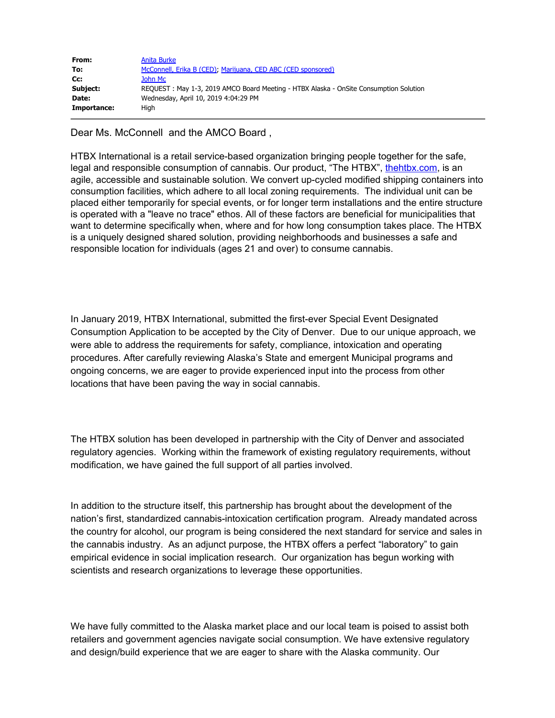| From:       | Anita Burke                                                                           |
|-------------|---------------------------------------------------------------------------------------|
| To:         | McConnell, Erika B (CED), Marijuana, CED ABC (CED sponsored)                          |
| Cc:         | John Mc                                                                               |
| Subject:    | REQUEST: May 1-3, 2019 AMCO Board Meeting - HTBX Alaska - OnSite Consumption Solution |
| Date:       | Wednesday, April 10, 2019 4:04:29 PM                                                  |
| Importance: | Hiah                                                                                  |

Dear Ms. McConnell and the AMCO Board ,

HTBX International is a retail service-based organization bringing people together for the safe, legal and responsible consumption of cannabis. Our product, "The HTBX", [thehtbx.com](https://urldefense.proofpoint.com/v2/url?u=http-3A__thehtbx.com&d=DwMFaQ&c=teXCf5DW4bHgLDM-H5_GmQ&r=t04nlgVD_6ix446OJO3qB_J7v71sLiNGi-fNmiwYiiU&m=wGIPDg4U28-Tp9YmmoGt-djiYNBms-EEFex2lRzN5q8&s=k4kBnTZIFEAI8lzAp6nqhTWrU6LwmIopvHyWKwzmr64&e=), is an agile, accessible and sustainable solution. We convert up-cycled modified shipping containers into consumption facilities, which adhere to all local zoning requirements. The individual unit can be placed either temporarily for special events, or for longer term installations and the entire structure is operated with a "leave no trace" ethos. All of these factors are beneficial for municipalities that want to determine specifically when, where and for how long consumption takes place. The HTBX is a uniquely designed shared solution, providing neighborhoods and businesses a safe and responsible location for individuals (ages 21 and over) to consume cannabis.

In January 2019, HTBX International, submitted the first-ever Special Event Designated Consumption Application to be accepted by the City of Denver. Due to our unique approach, we were able to address the requirements for safety, compliance, intoxication and operating procedures. After carefully reviewing Alaska's State and emergent Municipal programs and ongoing concerns, we are eager to provide experienced input into the process from other locations that have been paving the way in social cannabis.

The HTBX solution has been developed in partnership with the City of Denver and associated regulatory agencies. Working within the framework of existing regulatory requirements, without modification, we have gained the full support of all parties involved.

In addition to the structure itself, this partnership has brought about the development of the nation's first, standardized cannabis-intoxication certification program. Already mandated across the country for alcohol, our program is being considered the next standard for service and sales in the cannabis industry. As an adjunct purpose, the HTBX offers a perfect "laboratory" to gain empirical evidence in social implication research. Our organization has begun working with scientists and research organizations to leverage these opportunities.

We have fully committed to the Alaska market place and our local team is poised to assist both retailers and government agencies navigate social consumption. We have extensive regulatory and design/build experience that we are eager to share with the Alaska community. Our